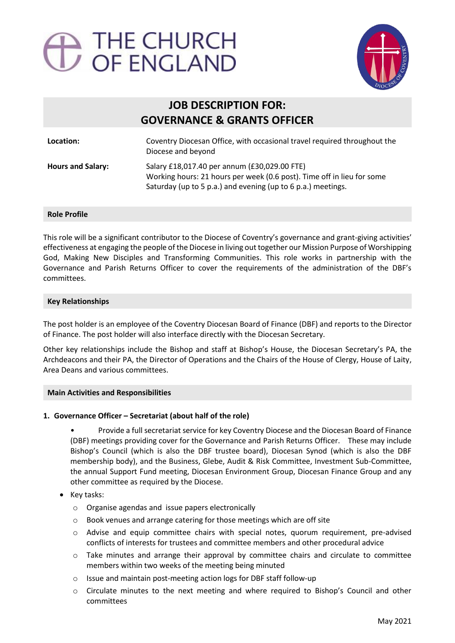# 



# **JOB DESCRIPTION FOR: GOVERNANCE & GRANTS OFFICER**

| Location:                | Coventry Diocesan Office, with occasional travel required throughout the<br>Diocese and beyond                                                                                         |
|--------------------------|----------------------------------------------------------------------------------------------------------------------------------------------------------------------------------------|
| <b>Hours and Salary:</b> | Salary £18,017.40 per annum (£30,029.00 FTE)<br>Working hours: 21 hours per week (0.6 post). Time off in lieu for some<br>Saturday (up to 5 p.a.) and evening (up to 6 p.a.) meetings. |

## **Role Profile**

This role will be a significant contributor to the Diocese of Coventry's governance and grant-giving activities' effectiveness at engaging the people of the Diocese in living out together our Mission Purpose of Worshipping God, Making New Disciples and Transforming Communities. This role works in partnership with the Governance and Parish Returns Officer to cover the requirements of the administration of the DBF's committees.

#### **Key Relationships**

The post holder is an employee of the Coventry Diocesan Board of Finance (DBF) and reports to the Director of Finance. The post holder will also interface directly with the Diocesan Secretary.

Other key relationships include the Bishop and staff at Bishop's House, the Diocesan Secretary's PA, the Archdeacons and their PA, the Director of Operations and the Chairs of the House of Clergy, House of Laity, Area Deans and various committees.

## **Main Activities and Responsibilities**

## **1. Governance Officer – Secretariat (about half of the role)**

• Provide a full secretariat service for key Coventry Diocese and the Diocesan Board of Finance (DBF) meetings providing cover for the Governance and Parish Returns Officer. These may include Bishop's Council (which is also the DBF trustee board), Diocesan Synod (which is also the DBF membership body), and the Business, Glebe, Audit & Risk Committee, Investment Sub-Committee, the annual Support Fund meeting, Diocesan Environment Group, Diocesan Finance Group and any other committee as required by the Diocese.

- Key tasks:
	- o Organise agendas and issue papers electronically
	- o Book venues and arrange catering for those meetings which are off site
	- $\circ$  Advise and equip committee chairs with special notes, quorum requirement, pre-advised conflicts of interests for trustees and committee members and other procedural advice
	- $\circ$  Take minutes and arrange their approval by committee chairs and circulate to committee members within two weeks of the meeting being minuted
	- o Issue and maintain post-meeting action logs for DBF staff follow-up
	- $\circ$  Circulate minutes to the next meeting and where required to Bishop's Council and other committees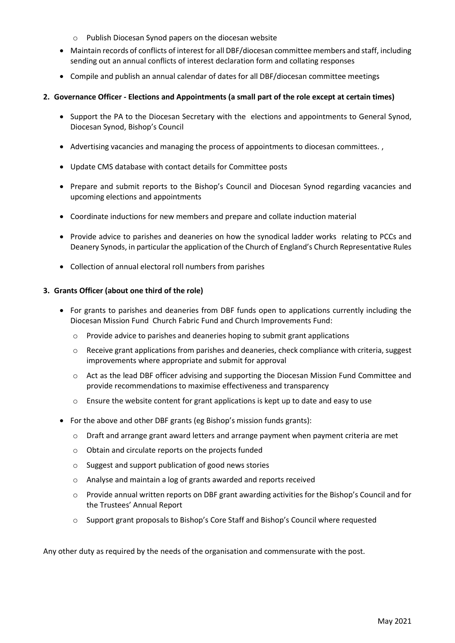- o Publish Diocesan Synod papers on the diocesan website
- Maintain records of conflicts of interest for all DBF/diocesan committee members and staff, including sending out an annual conflicts of interest declaration form and collating responses
- Compile and publish an annual calendar of dates for all DBF/diocesan committee meetings

#### **2. Governance Officer - Elections and Appointments (a small part of the role except at certain times)**

- Support the PA to the Diocesan Secretary with the elections and appointments to General Synod, Diocesan Synod, Bishop's Council
- Advertising vacancies and managing the process of appointments to diocesan committees. ,
- Update CMS database with contact details for Committee posts
- Prepare and submit reports to the Bishop's Council and Diocesan Synod regarding vacancies and upcoming elections and appointments
- Coordinate inductions for new members and prepare and collate induction material
- Provide advice to parishes and deaneries on how the synodical ladder works relating to PCCs and Deanery Synods, in particular the application of the Church of England's Church Representative Rules
- Collection of annual electoral roll numbers from parishes

#### **3. Grants Officer (about one third of the role)**

- For grants to parishes and deaneries from DBF funds open to applications currently including the Diocesan Mission Fund Church Fabric Fund and Church Improvements Fund:
	- $\circ$  Provide advice to parishes and deaneries hoping to submit grant applications
	- $\circ$  Receive grant applications from parishes and deaneries, check compliance with criteria, suggest improvements where appropriate and submit for approval
	- o Act as the lead DBF officer advising and supporting the Diocesan Mission Fund Committee and provide recommendations to maximise effectiveness and transparency
	- $\circ$  Ensure the website content for grant applications is kept up to date and easy to use
- For the above and other DBF grants (eg Bishop's mission funds grants):
	- o Draft and arrange grant award letters and arrange payment when payment criteria are met
	- o Obtain and circulate reports on the projects funded
	- o Suggest and support publication of good news stories
	- o Analyse and maintain a log of grants awarded and reports received
	- $\circ$  Provide annual written reports on DBF grant awarding activities for the Bishop's Council and for the Trustees' Annual Report
	- o Support grant proposals to Bishop's Core Staff and Bishop's Council where requested

Any other duty as required by the needs of the organisation and commensurate with the post.